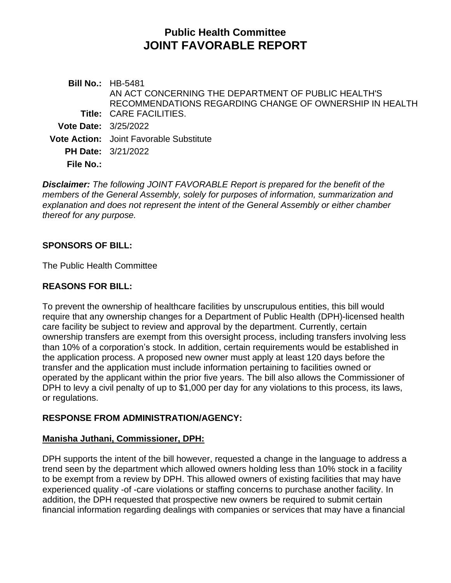# **Public Health Committee JOINT FAVORABLE REPORT**

**Bill No.:** HB-5481 **Title:** CARE FACILITIES. AN ACT CONCERNING THE DEPARTMENT OF PUBLIC HEALTH'S RECOMMENDATIONS REGARDING CHANGE OF OWNERSHIP IN HEALTH **Vote Date:** 3/25/2022 **Vote Action:** Joint Favorable Substitute **PH Date:** 3/21/2022 **File No.:**

*Disclaimer: The following JOINT FAVORABLE Report is prepared for the benefit of the members of the General Assembly, solely for purposes of information, summarization and explanation and does not represent the intent of the General Assembly or either chamber thereof for any purpose.*

# **SPONSORS OF BILL:**

The Public Health Committee

# **REASONS FOR BILL:**

To prevent the ownership of healthcare facilities by unscrupulous entities, this bill would require that any ownership changes for a Department of Public Health (DPH)-licensed health care facility be subject to review and approval by the department. Currently, certain ownership transfers are exempt from this oversight process, including transfers involving less than 10% of a corporation's stock. In addition, certain requirements would be established in the application process. A proposed new owner must apply at least 120 days before the transfer and the application must include information pertaining to facilities owned or operated by the applicant within the prior five years. The bill also allows the Commissioner of DPH to levy a civil penalty of up to \$1,000 per day for any violations to this process, its laws, or regulations.

#### **RESPONSE FROM ADMINISTRATION/AGENCY:**

#### **Manisha Juthani, Commissioner, DPH:**

DPH supports the intent of the bill however, requested a change in the language to address a trend seen by the department which allowed owners holding less than 10% stock in a facility to be exempt from a review by DPH. This allowed owners of existing facilities that may have experienced quality -of -care violations or staffing concerns to purchase another facility. In addition, the DPH requested that prospective new owners be required to submit certain financial information regarding dealings with companies or services that may have a financial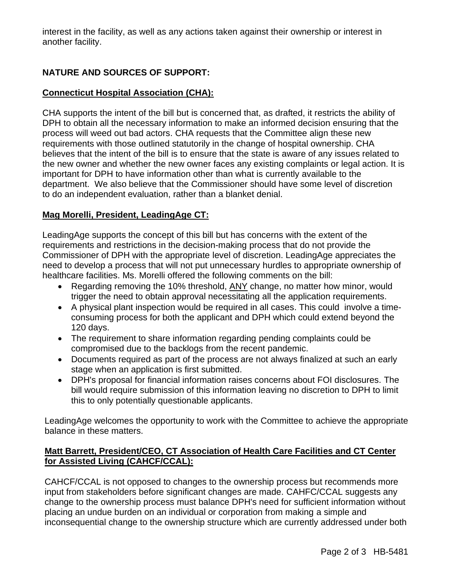interest in the facility, as well as any actions taken against their ownership or interest in another facility.

# **NATURE AND SOURCES OF SUPPORT:**

# **Connecticut Hospital Association (CHA):**

CHA supports the intent of the bill but is concerned that, as drafted, it restricts the ability of DPH to obtain all the necessary information to make an informed decision ensuring that the process will weed out bad actors. CHA requests that the Committee align these new requirements with those outlined statutorily in the change of hospital ownership. CHA believes that the intent of the bill is to ensure that the state is aware of any issues related to the new owner and whether the new owner faces any existing complaints or legal action. It is important for DPH to have information other than what is currently available to the department. We also believe that the Commissioner should have some level of discretion to do an independent evaluation, rather than a blanket denial.

# **Mag Morelli, President, LeadingAge CT:**

LeadingAge supports the concept of this bill but has concerns with the extent of the requirements and restrictions in the decision-making process that do not provide the Commissioner of DPH with the appropriate level of discretion. LeadingAge appreciates the need to develop a process that will not put unnecessary hurdles to appropriate ownership of healthcare facilities. Ms. Morelli offered the following comments on the bill:

- Regarding removing the 10% threshold, ANY change, no matter how minor, would trigger the need to obtain approval necessitating all the application requirements.
- A physical plant inspection would be required in all cases. This could involve a timeconsuming process for both the applicant and DPH which could extend beyond the 120 days.
- The requirement to share information regarding pending complaints could be compromised due to the backlogs from the recent pandemic.
- Documents required as part of the process are not always finalized at such an early stage when an application is first submitted.
- DPH's proposal for financial information raises concerns about FOI disclosures. The bill would require submission of this information leaving no discretion to DPH to limit this to only potentially questionable applicants.

LeadingAge welcomes the opportunity to work with the Committee to achieve the appropriate balance in these matters.

#### **Matt Barrett, President/CEO, CT Association of Health Care Facilities and CT Center for Assisted Living (CAHCF/CCAL):**

CAHCF/CCAL is not opposed to changes to the ownership process but recommends more input from stakeholders before significant changes are made. CAHFC/CCAL suggests any change to the ownership process must balance DPH's need for sufficient information without placing an undue burden on an individual or corporation from making a simple and inconsequential change to the ownership structure which are currently addressed under both